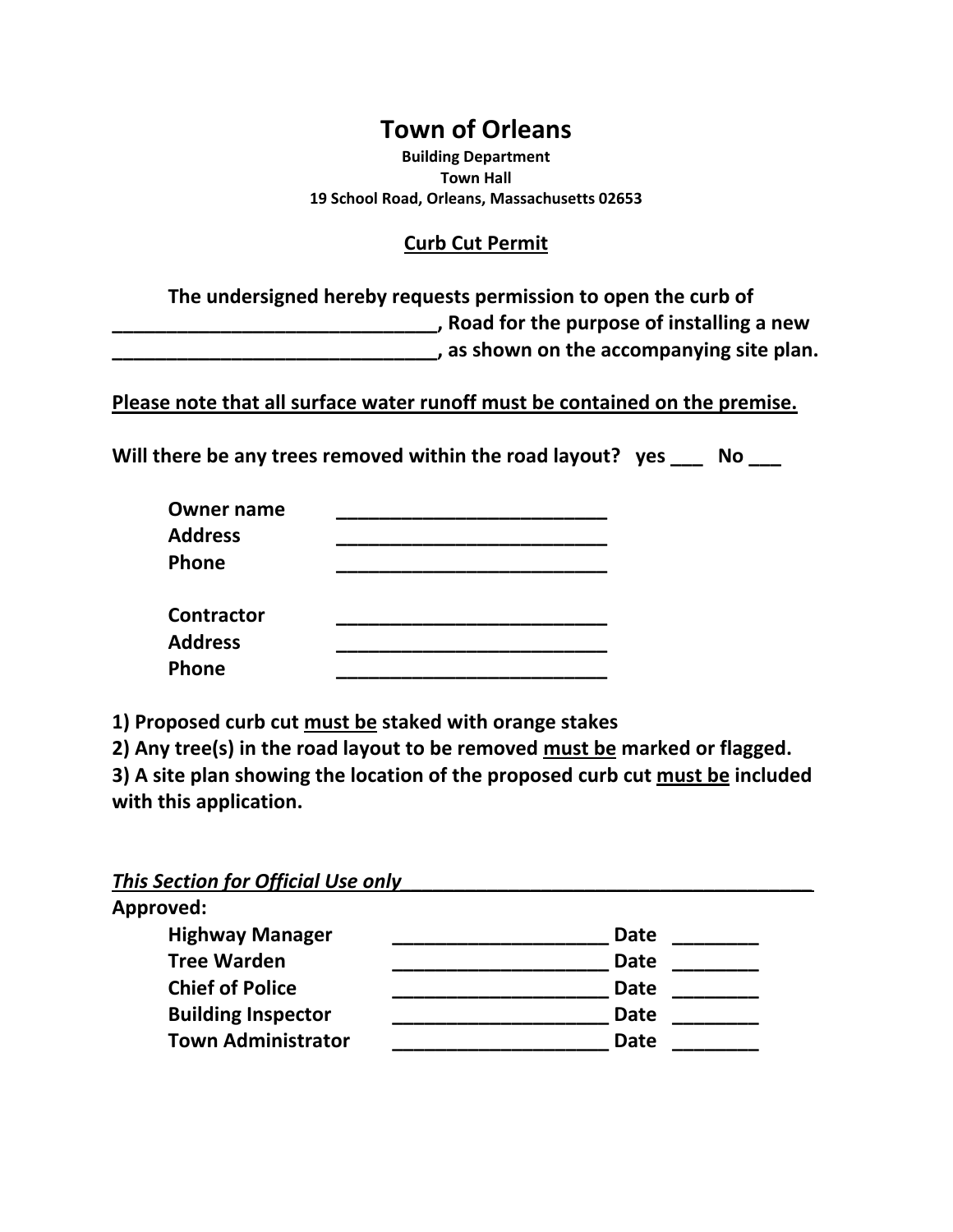## **Town of Orleans**

**Building Department Town Hall 19 School Road, Orleans, Massachusetts 02653**

## **Curb Cut Permit**

**The undersigned hereby requests permission to open the curb of \_\_\_\_\_\_\_\_\_\_\_\_\_\_\_\_\_\_\_\_\_\_\_\_\_\_\_\_\_\_, Road for the purpose of installing a new \_\_\_\_\_\_\_\_\_\_\_\_\_\_\_\_\_\_\_\_\_\_\_\_\_\_\_\_\_\_, as shown on the accompanying site plan.** 

**Please note that all surface water runoff must be contained on the premise.**

**Will there be any trees removed within the road layout? yes \_\_\_ No \_\_\_**

| <b>Owner name</b> |  |  |
|-------------------|--|--|
| <b>Address</b>    |  |  |
| Phone             |  |  |
| <b>Contractor</b> |  |  |
| <b>Address</b>    |  |  |
| Phone             |  |  |

**1) Proposed curb cut must be staked with orange stakes**

**2) Any tree(s) in the road layout to be removed must be marked or flagged. 3) A site plan showing the location of the proposed curb cut must be included with this application.**

*This Section for Official Use only\_\_\_\_\_\_\_\_\_\_\_\_\_\_\_\_\_\_\_\_\_\_\_\_\_\_\_\_\_\_\_\_\_\_\_\_\_\_*

| Approved:                 |             |
|---------------------------|-------------|
| <b>Highway Manager</b>    | Date        |
| <b>Tree Warden</b>        | <b>Date</b> |
| <b>Chief of Police</b>    | <b>Date</b> |
| <b>Building Inspector</b> | <b>Date</b> |
| <b>Town Administrator</b> | <b>Date</b> |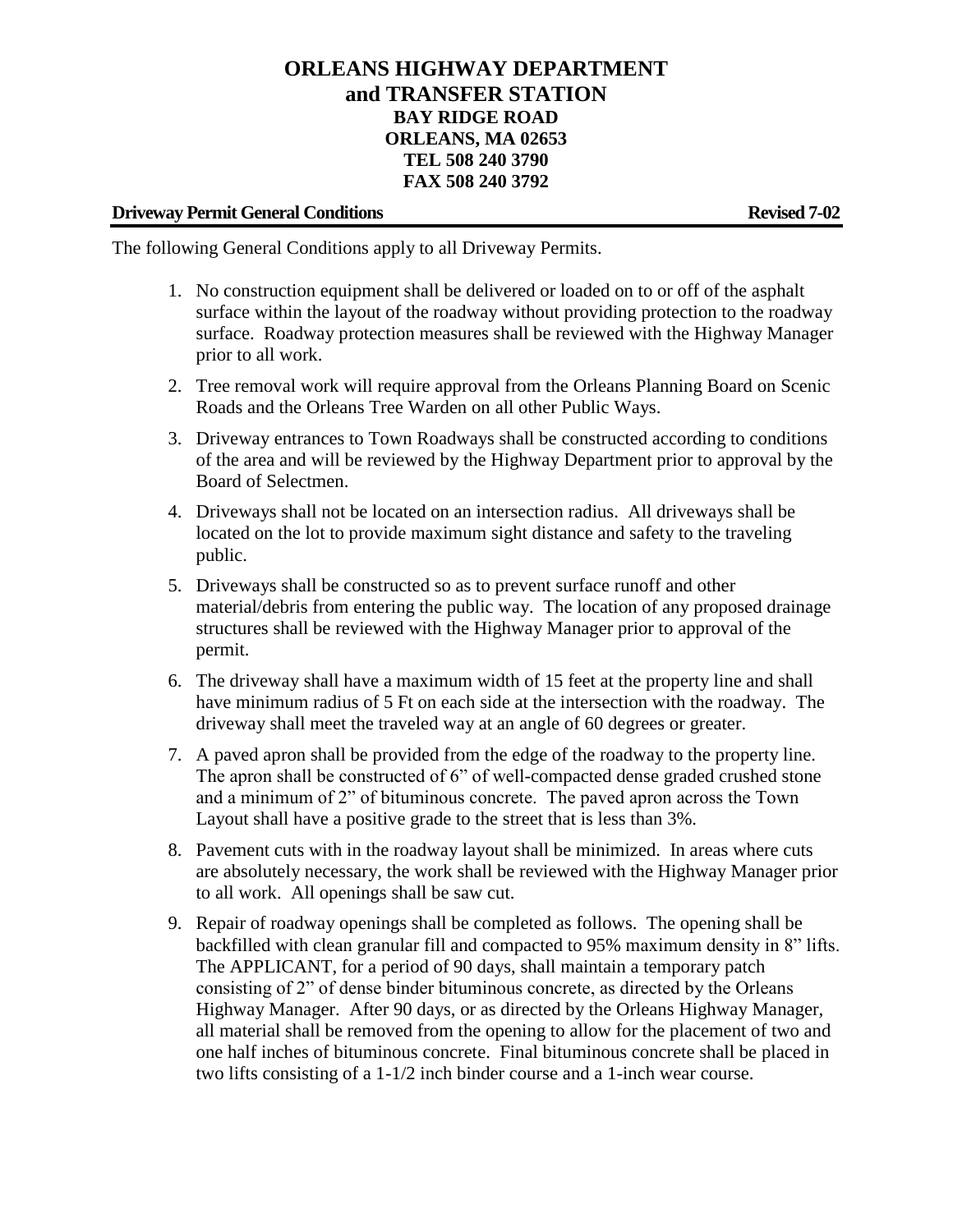## **ORLEANS HIGHWAY DEPARTMENT and TRANSFER STATION BAY RIDGE ROAD ORLEANS, MA 02653 TEL 508 240 3790 FAX 508 240 3792**

## **Driveway Permit General Conditions Revised 7-02**

The following General Conditions apply to all Driveway Permits.

- 1. No construction equipment shall be delivered or loaded on to or off of the asphalt surface within the layout of the roadway without providing protection to the roadway surface. Roadway protection measures shall be reviewed with the Highway Manager prior to all work.
- 2. Tree removal work will require approval from the Orleans Planning Board on Scenic Roads and the Orleans Tree Warden on all other Public Ways.
- 3. Driveway entrances to Town Roadways shall be constructed according to conditions of the area and will be reviewed by the Highway Department prior to approval by the Board of Selectmen.
- 4. Driveways shall not be located on an intersection radius. All driveways shall be located on the lot to provide maximum sight distance and safety to the traveling public.
- 5. Driveways shall be constructed so as to prevent surface runoff and other material/debris from entering the public way. The location of any proposed drainage structures shall be reviewed with the Highway Manager prior to approval of the permit.
- 6. The driveway shall have a maximum width of 15 feet at the property line and shall have minimum radius of 5 Ft on each side at the intersection with the roadway. The driveway shall meet the traveled way at an angle of 60 degrees or greater.
- 7. A paved apron shall be provided from the edge of the roadway to the property line. The apron shall be constructed of 6" of well-compacted dense graded crushed stone and a minimum of 2" of bituminous concrete. The paved apron across the Town Layout shall have a positive grade to the street that is less than 3%.
- 8. Pavement cuts with in the roadway layout shall be minimized. In areas where cuts are absolutely necessary, the work shall be reviewed with the Highway Manager prior to all work. All openings shall be saw cut.
- 9. Repair of roadway openings shall be completed as follows. The opening shall be backfilled with clean granular fill and compacted to 95% maximum density in 8" lifts. The APPLICANT, for a period of 90 days, shall maintain a temporary patch consisting of 2" of dense binder bituminous concrete, as directed by the Orleans Highway Manager. After 90 days, or as directed by the Orleans Highway Manager, all material shall be removed from the opening to allow for the placement of two and one half inches of bituminous concrete. Final bituminous concrete shall be placed in two lifts consisting of a 1-1/2 inch binder course and a 1-inch wear course.